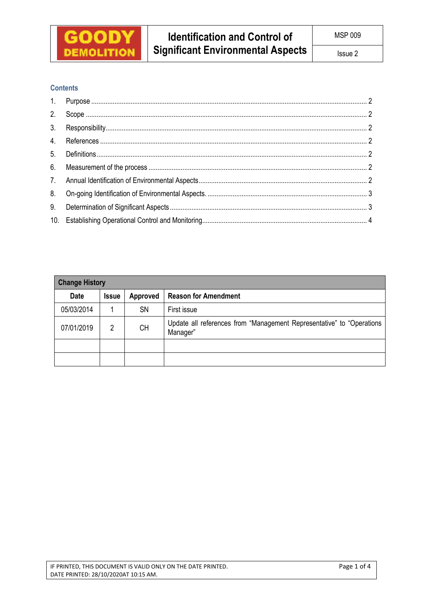

## **Contents**

| <b>Change History</b> |              |           |                                                                                   |  |  |  |  |
|-----------------------|--------------|-----------|-----------------------------------------------------------------------------------|--|--|--|--|
| <b>Date</b>           | <b>Issue</b> | Approved  | <b>Reason for Amendment</b>                                                       |  |  |  |  |
| 05/03/2014            |              | <b>SN</b> | First issue                                                                       |  |  |  |  |
| 07/01/2019            | 2            | <b>CH</b> | Update all references from "Management Representative" to "Operations<br>Manager" |  |  |  |  |
|                       |              |           |                                                                                   |  |  |  |  |
|                       |              |           |                                                                                   |  |  |  |  |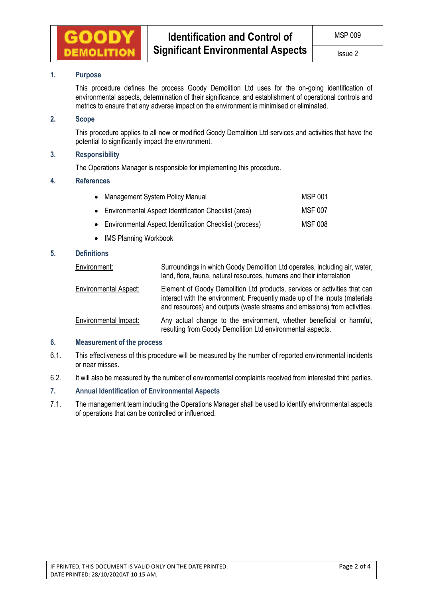

# **1. Purpose**

This procedure defines the process Goody Demolition Ltd uses for the on-going identification of environmental aspects, determination of their significance, and establishment of operational controls and metrics to ensure that any adverse impact on the environment is minimised or eliminated.

## **2. Scope**

This procedure applies to all new or modified Goody Demolition Ltd services and activities that have the potential to significantly impact the environment.

## **3. Responsibility**

The Operations Manager is responsible for implementing this procedure.

#### **4. References**

| • Management System Policy Manual                         | MSP 001 |
|-----------------------------------------------------------|---------|
| • Environmental Aspect Identification Checklist (area)    | MSF 007 |
| • Environmental Aspect Identification Checklist (process) | MSF 008 |

• IMS Planning Workbook

## **5. Definitions**

| Environment:                 | Surroundings in which Goody Demolition Ltd operates, including air, water,<br>land, flora, fauna, natural resources, humans and their interrelation                                                                                  |
|------------------------------|--------------------------------------------------------------------------------------------------------------------------------------------------------------------------------------------------------------------------------------|
| <b>Environmental Aspect:</b> | Element of Goody Demolition Ltd products, services or activities that can<br>interact with the environment. Frequently made up of the inputs (materials<br>and resources) and outputs (waste streams and emissions) from activities. |
| Environmental Impact:        | Any actual change to the environment, whether beneficial or harmful,<br>resulting from Goody Demolition Ltd environmental aspects.                                                                                                   |

### **6. Measurement of the process**

- 6.1. This effectiveness of this procedure will be measured by the number of reported environmental incidents or near misses.
- 6.2. It will also be measured by the number of environmental complaints received from interested third parties.

### **7. Annual Identification of Environmental Aspects**

7.1. The management team including the Operations Manager shall be used to identify environmental aspects of operations that can be controlled or influenced.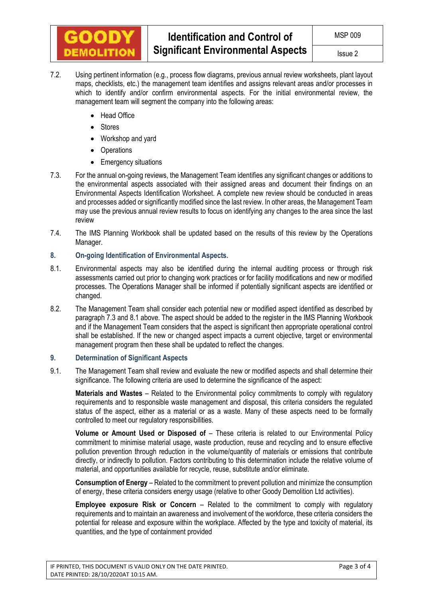

- 7.2. Using pertinent information (e.g., process flow diagrams, previous annual review worksheets, plant layout maps, checklists, etc.) the management team identifies and assigns relevant areas and/or processes in which to identify and/or confirm environmental aspects. For the initial environmental review, the management team will segment the company into the following areas:
	- Head Office
	- Stores
	- Workshop and yard
	- Operations
	- Emergency situations
- 7.3. For the annual on-going reviews, the Management Team identifies any significant changes or additions to the environmental aspects associated with their assigned areas and document their findings on an Environmental Aspects Identification Worksheet. A complete new review should be conducted in areas and processes added or significantly modified since the last review. In other areas, the Management Team may use the previous annual review results to focus on identifying any changes to the area since the last review
- 7.4. The IMS Planning Workbook shall be updated based on the results of this review by the Operations Manager.

## **8. On-going Identification of Environmental Aspects.**

- 8.1. Environmental aspects may also be identified during the internal auditing process or through risk assessments carried out prior to changing work practices or for facility modifications and new or modified processes. The Operations Manager shall be informed if potentially significant aspects are identified or changed.
- 8.2. The Management Team shall consider each potential new or modified aspect identified as described by paragraph 7.3 and 8.1 above. The aspect should be added to the register in the IMS Planning Workbook and if the Management Team considers that the aspect is significant then appropriate operational control shall be established. If the new or changed aspect impacts a current objective, target or environmental management program then these shall be updated to reflect the changes.

#### **9. Determination of Significant Aspects**

9.1. The Management Team shall review and evaluate the new or modified aspects and shall determine their significance. The following criteria are used to determine the significance of the aspect:

**Materials and Wastes** – Related to the Environmental policy commitments to comply with regulatory requirements and to responsible waste management and disposal, this criteria considers the regulated status of the aspect, either as a material or as a waste. Many of these aspects need to be formally controlled to meet our regulatory responsibilities.

**Volume or Amount Used or Disposed of** – These criteria is related to our Environmental Policy commitment to minimise material usage, waste production, reuse and recycling and to ensure effective pollution prevention through reduction in the volume/quantity of materials or emissions that contribute directly, or indirectly to pollution. Factors contributing to this determination include the relative volume of material, and opportunities available for recycle, reuse, substitute and/or eliminate.

**Consumption of Energy** – Related to the commitment to prevent pollution and minimize the consumption of energy, these criteria considers energy usage (relative to other Goody Demolition Ltd activities).

**Employee exposure Risk or Concern** – Related to the commitment to comply with regulatory requirements and to maintain an awareness and involvement of the workforce, these criteria considers the potential for release and exposure within the workplace. Affected by the type and toxicity of material, its quantities, and the type of containment provided